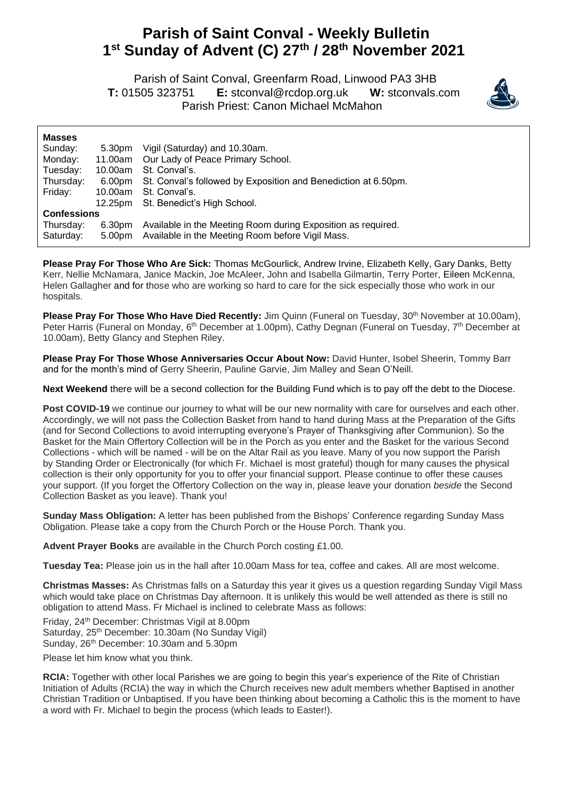## **Parish of Saint Conval - Weekly Bulletin 1 st Sunday of Advent (C) 27 th / 28 th November 2021**

 Parish of Saint Conval, Greenfarm Road, Linwood PA3 3HB **T:** 01505 323751 **E:** [stconval@rcdop.org.uk](mailto:stconval@rcdop.org.uk) **W:** stconvals.com Parish Priest: Canon Michael McMahon



| <b>Masses</b>      |         |                                                                |
|--------------------|---------|----------------------------------------------------------------|
| Sunday:            | 5.30pm  | Vigil (Saturday) and 10.30am.                                  |
| Monday:            | 11.00am | Our Lady of Peace Primary School.                              |
| Tuesday:           | 10.00am | St. Conval's.                                                  |
| Thursday:          | 6.00pm  | St. Conval's followed by Exposition and Benediction at 6.50pm. |
| Friday:            | 10.00am | St. Conval's.                                                  |
|                    | 12.25pm | St. Benedict's High School.                                    |
| <b>Confessions</b> |         |                                                                |
| Thursday:          | 6.30pm  | Available in the Meeting Room during Exposition as required.   |
| Saturday:          | 5.00pm  | Available in the Meeting Room before Vigil Mass.               |

**Please Pray For Those Who Are Sick:** Thomas McGourlick, Andrew Irvine, Elizabeth Kelly, Gary Danks, Betty Kerr, Nellie McNamara, Janice Mackin, Joe McAleer, John and Isabella Gilmartin, Terry Porter, Eileen McKenna, Helen Gallagher and for those who are working so hard to care for the sick especially those who work in our hospitals.

Please Pray For Those Who Have Died Recently: Jim Quinn (Funeral on Tuesday, 30<sup>th</sup> November at 10.00am), Peter Harris (Funeral on Monday, 6<sup>th</sup> December at 1.00pm), Cathy Degnan (Funeral on Tuesday, 7<sup>th</sup> December at 10.00am), Betty Glancy and Stephen Riley.

**Please Pray For Those Whose Anniversaries Occur About Now:** David Hunter, Isobel Sheerin, Tommy Barr and for the month's mind of Gerry Sheerin, Pauline Garvie, Jim Malley and Sean O'Neill.

**Next Weekend** there will be a second collection for the Building Fund which is to pay off the debt to the Diocese.

Post COVID-19 we continue our journey to what will be our new normality with care for ourselves and each other. Accordingly, we will not pass the Collection Basket from hand to hand during Mass at the Preparation of the Gifts (and for Second Collections to avoid interrupting everyone's Prayer of Thanksgiving after Communion). So the Basket for the Main Offertory Collection will be in the Porch as you enter and the Basket for the various Second Collections - which will be named - will be on the Altar Rail as you leave. Many of you now support the Parish by Standing Order or Electronically (for which Fr. Michael is most grateful) though for many causes the physical collection is their only opportunity for you to offer your financial support. Please continue to offer these causes your support. (If you forget the Offertory Collection on the way in, please leave your donation *beside* the Second Collection Basket as you leave). Thank you!

**Sunday Mass Obligation:** A letter has been published from the Bishops' Conference regarding Sunday Mass Obligation. Please take a copy from the Church Porch or the House Porch. Thank you.

**Advent Prayer Books** are available in the Church Porch costing £1.00.

**Tuesday Tea:** Please join us in the hall after 10.00am Mass for tea, coffee and cakes. All are most welcome.

**Christmas Masses:** As Christmas falls on a Saturday this year it gives us a question regarding Sunday Vigil Mass which would take place on Christmas Day afternoon. It is unlikely this would be well attended as there is still no obligation to attend Mass. Fr Michael is inclined to celebrate Mass as follows:

Friday, 24th December: Christmas Vigil at 8.00pm Saturday, 25<sup>th</sup> December: 10.30am (No Sunday Vigil) Sunday, 26<sup>th</sup> December: 10.30am and 5.30pm

Please let him know what you think.

**RCIA:** Together with other local Parishes we are going to begin this year's experience of the Rite of Christian Initiation of Adults (RCIA) the way in which the Church receives new adult members whether Baptised in another Christian Tradition or Unbaptised. If you have been thinking about becoming a Catholic this is the moment to have a word with Fr. Michael to begin the process (which leads to Easter!).